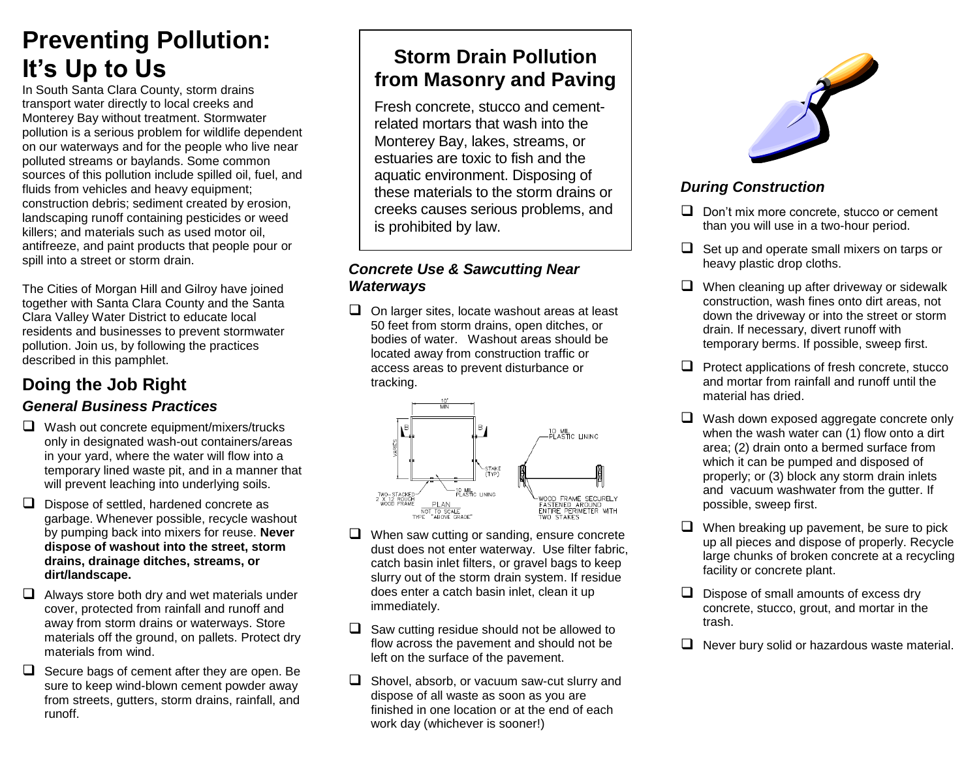## **Preventing Pollution: It's Up to Us**

In South Santa Clara County, storm drains transport water directly to local creeks and Monterey Bay without treatment. Stormwater pollution is a serious problem for wildlife dependent on our waterways and for the people who live near polluted streams or baylands. Some common sources of this pollution include spilled oil, fuel, and fluids from vehicles and heavy equipment; construction debris; sediment created by erosion, landscaping runoff containing pesticides or weed killers; and materials such as used motor oil, antifreeze, and paint products that people pour or spill into a street or storm drain.

The Cities of Morgan Hill and Gilroy have joined together with Santa Clara County and the Santa Clara Valley Water District to educate local residents and businesses to prevent stormwater pollution. Join us, by following the practices described in this pamphlet.

#### **Doing the Job Right** *General Business Practices*

- $\Box$  Wash out concrete equipment/mixers/trucks only in designated wash-out containers/areas in your yard, where the water will flow into a temporary lined waste pit, and in a manner that will prevent leaching into underlying soils.
- $\Box$  Dispose of settled, hardened concrete as garbage. Whenever possible, recycle washout by pumping back into mixers for reuse. **Never dispose of washout into the street, storm drains, drainage ditches, streams, or dirt/landscape.**
- $\Box$  Always store both dry and wet materials under cover, protected from rainfall and runoff and away from storm drains or waterways. Store materials off the ground, on pallets. Protect dry materials from wind.
- $\Box$  Secure bags of cement after they are open. Be sure to keep wind-blown cement powder away from streets, gutters, storm drains, rainfall, and runoff.

## **Storm Drain Pollution from Masonry and Paving**

Fresh concrete, stucco and cementrelated mortars that wash into the Monterey Bay, lakes, streams, or estuaries are toxic to fish and the aquatic environment. Disposing of these materials to the storm drains or creeks causes serious problems, and is prohibited by law.

#### *Concrete Use & Sawcutting Near Waterways*

 $\Box$  On larger sites, locate washout areas at least 50 feet from storm drains, open ditches, or bodies of water. Washout areas should be located away from construction traffic or access areas to prevent disturbance or tracking.



- $\Box$  When saw cutting or sanding, ensure concrete dust does not enter waterway. Use filter fabric, catch basin inlet filters, or gravel bags to keep slurry out of the storm drain system. If residue does enter a catch basin inlet, clean it up immediately.
- $\Box$  Saw cutting residue should not be allowed to flow across the pavement and should not be left on the surface of the pavement.
- $\Box$  Shovel, absorb, or vacuum saw-cut slurry and dispose of all waste as soon as you are finished in one location or at the end of each work day (whichever is sooner!)



#### *During Construction*

- $\Box$  Don't mix more concrete, stucco or cement than you will use in a two-hour period.
- $\Box$  Set up and operate small mixers on tarps or heavy plastic drop cloths.
- $\Box$  When cleaning up after driveway or sidewalk construction, wash fines onto dirt areas, not down the driveway or into the street or storm drain. If necessary, divert runoff with temporary berms. If possible, sweep first.
- $\Box$  Protect applications of fresh concrete, stucco and mortar from rainfall and runoff until the material has dried.
- $\Box$  Wash down exposed aggregate concrete only when the wash water can (1) flow onto a dirt area; (2) drain onto a bermed surface from which it can be pumped and disposed of properly; or (3) block any storm drain inlets and vacuum washwater from the gutter. If possible, sweep first.
- $\Box$  When breaking up pavement, be sure to pick up all pieces and dispose of properly. Recycle large chunks of broken concrete at a recycling facility or concrete plant.
- $\Box$  Dispose of small amounts of excess dry concrete, stucco, grout, and mortar in the trash.
- $\Box$  Never bury solid or hazardous waste material.